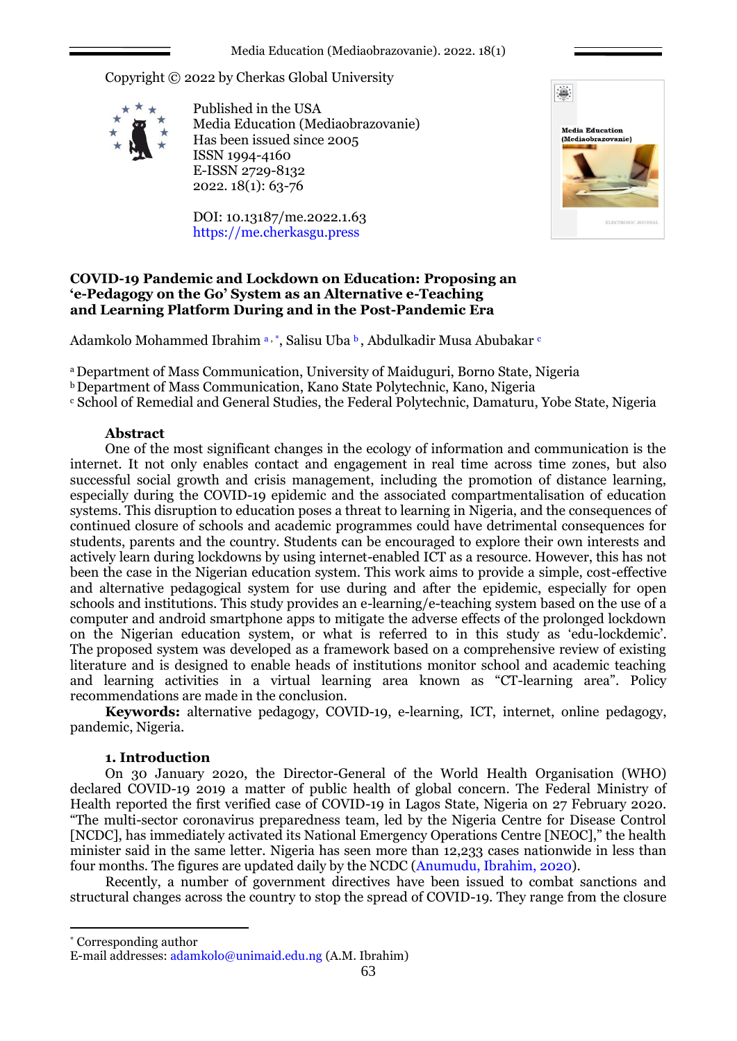Copyright © 2022 by Cherkas Global University



Published in the USA Media Education (Mediaobrazovanie) Has been issued since 2005 ISSN 1994-4160 E-ISSN 2729-8132 2022. 18(1): 63-76

DOI: 10.13187/me.2022.1.63 https://me.cherkasgu.press



## **COVID-19 Pandemic and Lockdown on Education: Proposing an 'e-Pedagogy on the Go' System as an Alternative e-Teaching and Learning Platform During and in the Post-Pandemic Era**

Adamkolo Mohammed Ibrahim a, \*, Salisu Uba <sup>b</sup>, Abdulkadir Musa Abubakar <sup>c</sup>

<sup>a</sup>Department of Mass Communication, University of Maiduguri, Borno State, Nigeria

**b** Department of Mass Communication, Kano State Polytechnic, Kano, Nigeria

<sup>c</sup> School of Remedial and General Studies, the Federal Polytechnic, Damaturu, Yobe State, Nigeria

## **Abstract**

One of the most significant changes in the ecology of information and communication is the internet. It not only enables contact and engagement in real time across time zones, but also successful social growth and crisis management, including the promotion of distance learning, especially during the COVID-19 epidemic and the associated compartmentalisation of education systems. This disruption to education poses a threat to learning in Nigeria, and the consequences of continued closure of schools and academic programmes could have detrimental consequences for students, parents and the country. Students can be encouraged to explore their own interests and actively learn during lockdowns by using internet-enabled ICT as a resource. However, this has not been the case in the Nigerian education system. This work aims to provide a simple, cost-effective and alternative pedagogical system for use during and after the epidemic, especially for open schools and institutions. This study provides an e-learning/e-teaching system based on the use of a computer and android smartphone apps to mitigate the adverse effects of the prolonged lockdown on the Nigerian education system, or what is referred to in this study as 'edu-lockdemic'. The proposed system was developed as a framework based on a comprehensive review of existing literature and is designed to enable heads of institutions monitor school and academic teaching and learning activities in a virtual learning area known as "CT-learning area". Policy recommendations are made in the conclusion.

**Keywords:** alternative pedagogy, COVID-19, e-learning, ICT, internet, online pedagogy, pandemic, Nigeria.

# **1. Introduction**

On 30 January 2020, the Director-General of the World Health Organisation (WHO) declared COVID-19 2019 a matter of public health of global concern. The Federal Ministry of Health reported the first verified case of COVID-19 in Lagos State, Nigeria on 27 February 2020. "The multi-sector coronavirus preparedness team, led by the Nigeria Centre for Disease Control [NCDC], has immediately activated its National Emergency Operations Centre [NEOC]," the health minister said in the same letter. Nigeria has seen more than 12,233 cases nationwide in less than four months. The figures are updated daily by the NCDC (Anumudu, Ibrahim, 2020).

Recently, a number of government directives have been issued to combat sanctions and structural changes across the country to stop the spread of COVID-19. They range from the closure

1

<sup>\*</sup> Corresponding author

E-mail addresses: [adamkolo@unimaid.edu.ng](mailto:adamkolo@unimaid.edu.ng) (A.M. Ibrahim)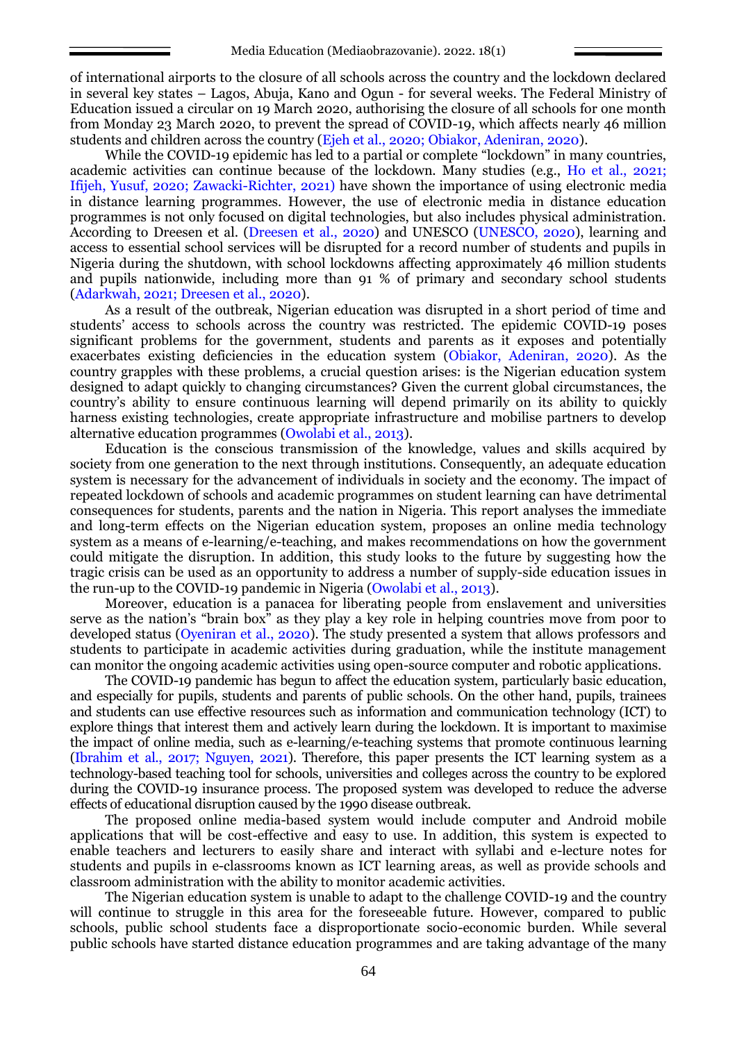of international airports to the closure of all schools across the country and the lockdown declared in several key states – Lagos, Abuja, Kano and Ogun - for several weeks. The Federal Ministry of Education issued a circular on 19 March 2020, authorising the closure of all schools for one month from Monday 23 March 2020, to prevent the spread of COVID-19, which affects nearly 46 million students and children across the country (Ejeh et al., 2020; Obiakor, Adeniran, 2020).

While the COVID-19 epidemic has led to a partial or complete "lockdown" in many countries, academic activities can continue because of the lockdown. Many studies (e.g., Ho et al., 2021; Ifijeh, Yusuf, 2020; Zawacki-Richter, 2021) have shown the importance of using electronic media in distance learning programmes. However, the use of electronic media in distance education programmes is not only focused on digital technologies, but also includes physical administration. According to Dreesen et al. (Dreesen et al., 2020) and UNESCO (UNESCO, 2020), learning and access to essential school services will be disrupted for a record number of students and pupils in Nigeria during the shutdown, with school lockdowns affecting approximately 46 million students and pupils nationwide, including more than 91 % of primary and secondary school students (Adarkwah, 2021; Dreesen et al., 2020).

As a result of the outbreak, Nigerian education was disrupted in a short period of time and students' access to schools across the country was restricted. The epidemic COVID-19 poses significant problems for the government, students and parents as it exposes and potentially exacerbates existing deficiencies in the education system (Obiakor, Adeniran, 2020). As the country grapples with these problems, a crucial question arises: is the Nigerian education system designed to adapt quickly to changing circumstances? Given the current global circumstances, the country's ability to ensure continuous learning will depend primarily on its ability to quickly harness existing technologies, create appropriate infrastructure and mobilise partners to develop alternative education programmes (Owolabi et al., 2013).

Education is the conscious transmission of the knowledge, values and skills acquired by society from one generation to the next through institutions. Consequently, an adequate education system is necessary for the advancement of individuals in society and the economy. The impact of repeated lockdown of schools and academic programmes on student learning can have detrimental consequences for students, parents and the nation in Nigeria. This report analyses the immediate and long-term effects on the Nigerian education system, proposes an online media technology system as a means of e-learning/e-teaching, and makes recommendations on how the government could mitigate the disruption. In addition, this study looks to the future by suggesting how the tragic crisis can be used as an opportunity to address a number of supply-side education issues in the run-up to the COVID-19 pandemic in Nigeria (Owolabi et al., 2013).

Moreover, education is a panacea for liberating people from enslavement and universities serve as the nation's "brain box" as they play a key role in helping countries move from poor to developed status (Oyeniran et al., 2020). The study presented a system that allows professors and students to participate in academic activities during graduation, while the institute management can monitor the ongoing academic activities using open-source computer and robotic applications.

The COVID-19 pandemic has begun to affect the education system, particularly basic education, and especially for pupils, students and parents of public schools. On the other hand, pupils, trainees and students can use effective resources such as information and communication technology (ICT) to explore things that interest them and actively learn during the lockdown. It is important to maximise the impact of online media, such as e-learning/e-teaching systems that promote continuous learning (Ibrahim et al., 2017; Nguyen, 2021). Therefore, this paper presents the ICT learning system as a technology-based teaching tool for schools, universities and colleges across the country to be explored during the COVID-19 insurance process. The proposed system was developed to reduce the adverse effects of educational disruption caused by the 1990 disease outbreak.

The proposed online media-based system would include computer and Android mobile applications that will be cost-effective and easy to use. In addition, this system is expected to enable teachers and lecturers to easily share and interact with syllabi and e-lecture notes for students and pupils in e-classrooms known as ICT learning areas, as well as provide schools and classroom administration with the ability to monitor academic activities.

The Nigerian education system is unable to adapt to the challenge COVID-19 and the country will continue to struggle in this area for the foreseeable future. However, compared to public schools, public school students face a disproportionate socio-economic burden. While several public schools have started distance education programmes and are taking advantage of the many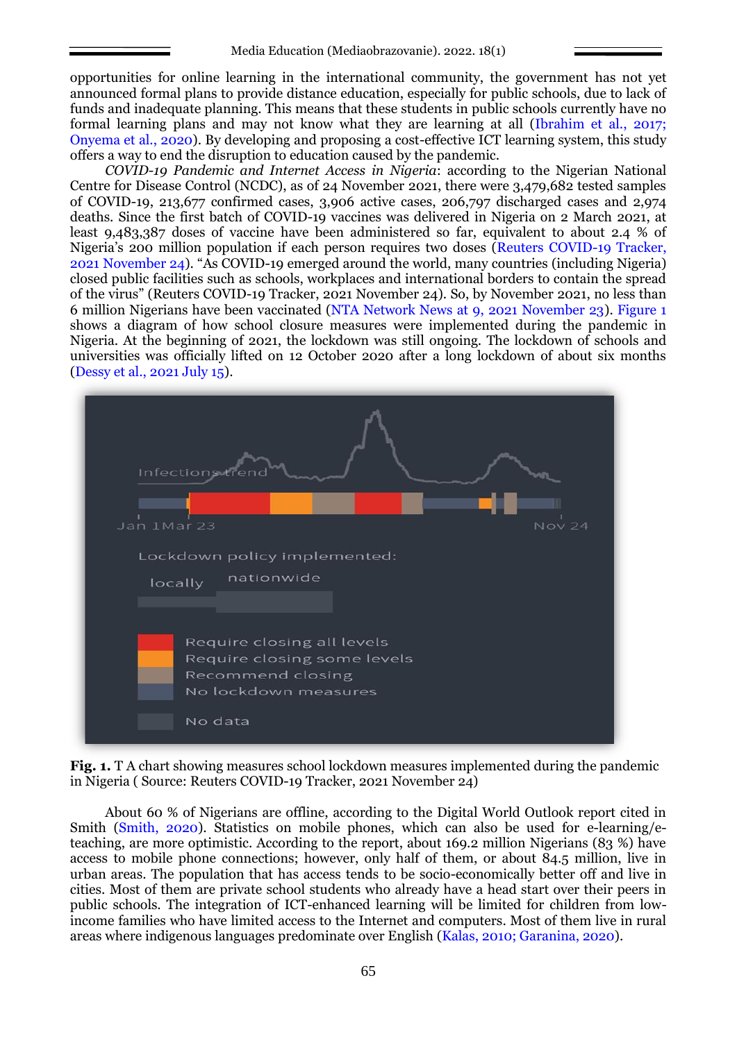opportunities for online learning in the international community, the government has not yet announced formal plans to provide distance education, especially for public schools, due to lack of funds and inadequate planning. This means that these students in public schools currently have no formal learning plans and may not know what they are learning at all (Ibrahim et al., 2017; Onyema et al., 2020). By developing and proposing a cost-effective ICT learning system, this study offers a way to end the disruption to education caused by the pandemic.

*COVID-19 Pandemic and Internet Access in Nigeria*: according to the Nigerian National Centre for Disease Control (NCDC), as of 24 November 2021, there were 3,479,682 tested samples of COVID-19, 213,677 confirmed cases, 3,906 active cases, 206,797 discharged cases and 2,974 deaths. Since the first batch of COVID-19 vaccines was delivered in Nigeria on 2 March 2021, at least 9,483,387 doses of vaccine have been administered so far, equivalent to about 2.4 % of Nigeria's 200 million population if each person requires two doses (Reuters COVID-19 Tracker, 2021 November 24). "As COVID-19 emerged around the world, many countries (including Nigeria) closed public facilities such as schools, workplaces and international borders to contain the spread of the virus" (Reuters COVID-19 Tracker, 2021 November 24). So, by November 2021, no less than 6 million Nigerians have been vaccinated (NTA Network News at 9, 2021 November 23). Figure 1 shows a diagram of how school closure measures were implemented during the pandemic in Nigeria. At the beginning of 2021, the lockdown was still ongoing. The lockdown of schools and universities was officially lifted on 12 October 2020 after a long lockdown of about six months (Dessy et al., 2021 July 15).



**Fig. 1.** T A chart showing measures school lockdown measures implemented during the pandemic in Nigeria ( Source: Reuters COVID-19 Tracker, 2021 November 24)

About 60 % of Nigerians are offline, according to the Digital World Outlook report cited in Smith (Smith, 2020). Statistics on mobile phones, which can also be used for e-learning/eteaching, are more optimistic. According to the report, about 169.2 million Nigerians (83 %) have access to mobile phone connections; however, only half of them, or about  $\overline{84.5}$  million, live in urban areas. The population that has access tends to be socio-economically better off and live in cities. Most of them are private school students who already have a head start over their peers in public schools. The integration of ICT-enhanced learning will be limited for children from lowincome families who have limited access to the Internet and computers. Most of them live in rural areas where indigenous languages predominate over English (Kalas, 2010; Garanina, 2020).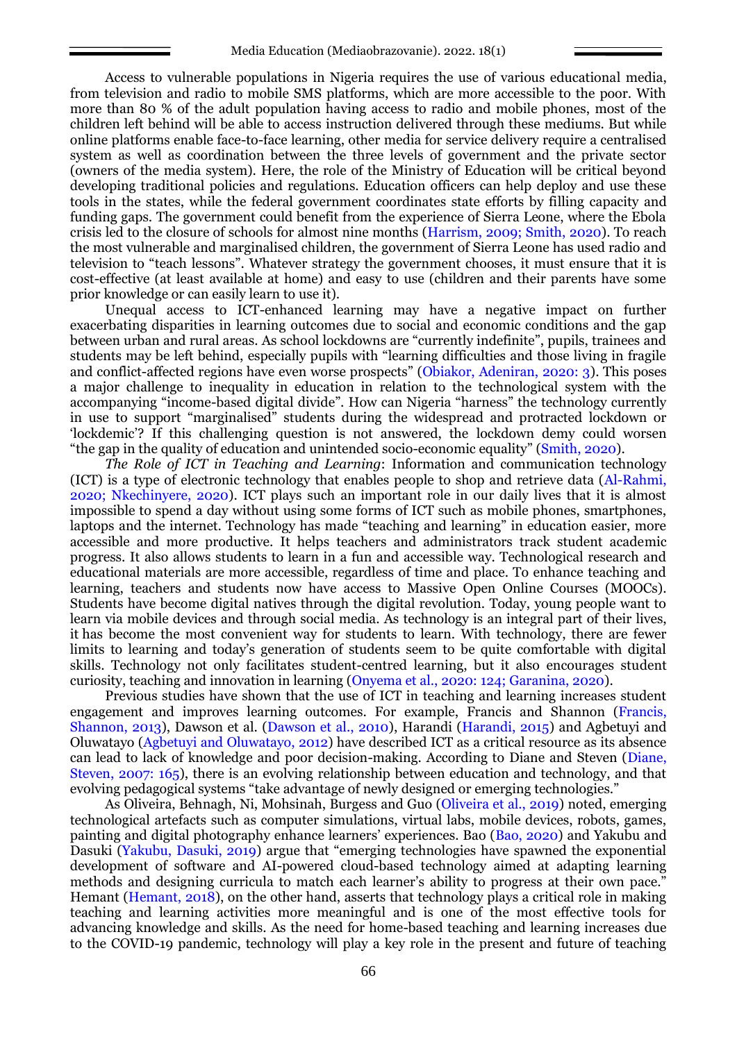Access to vulnerable populations in Nigeria requires the use of various educational media, from television and radio to mobile SMS platforms, which are more accessible to the poor. With more than 80 % of the adult population having access to radio and mobile phones, most of the children left behind will be able to access instruction delivered through these mediums. But while online platforms enable face-to-face learning, other media for service delivery require a centralised system as well as coordination between the three levels of government and the private sector (owners of the media system). Here, the role of the Ministry of Education will be critical beyond developing traditional policies and regulations. Education officers can help deploy and use these tools in the states, while the federal government coordinates state efforts by filling capacity and funding gaps. The government could benefit from the experience of Sierra Leone, where the Ebola crisis led to the closure of schools for almost nine months (Harrism, 2009; Smith, 2020). To reach the most vulnerable and marginalised children, the government of Sierra Leone has used radio and television to "teach lessons". Whatever strategy the government chooses, it must ensure that it is cost-effective (at least available at home) and easy to use (children and their parents have some prior knowledge or can easily learn to use it).

Unequal access to ICT-enhanced learning may have a negative impact on further exacerbating disparities in learning outcomes due to social and economic conditions and the gap between urban and rural areas. As school lockdowns are "currently indefinite", pupils, trainees and students may be left behind, especially pupils with "learning difficulties and those living in fragile and conflict-affected regions have even worse prospects" (Obiakor, Adeniran, 2020: 3). This poses a major challenge to inequality in education in relation to the technological system with the accompanying "income-based digital divide". How can Nigeria "harness" the technology currently in use to support "marginalised" students during the widespread and protracted lockdown or 'lockdemic'? If this challenging question is not answered, the lockdown demy could worsen "the gap in the quality of education and unintended socio-economic equality" (Smith, 2020).

*The Role of ICT in Teaching and Learning*: Information and communication technology (ICT) is a type of electronic technology that enables people to shop and retrieve data (Al-Rahmi, 2020; Nkechinyere, 2020). ICT plays such an important role in our daily lives that it is almost impossible to spend a day without using some forms of ICT such as mobile phones, smartphones, laptops and the internet. Technology has made "teaching and learning" in education easier, more accessible and more productive. It helps teachers and administrators track student academic progress. It also allows students to learn in a fun and accessible way. Technological research and educational materials are more accessible, regardless of time and place. To enhance teaching and learning, teachers and students now have access to Massive Open Online Courses (MOOCs). Students have become digital natives through the digital revolution. Today, young people want to learn via mobile devices and through social media. As technology is an integral part of their lives, it has become the most convenient way for students to learn. With technology, there are fewer limits to learning and today's generation of students seem to be quite comfortable with digital skills. Technology not only facilitates student-centred learning, but it also encourages student curiosity, teaching and innovation in learning (Onyema et al., 2020: 124; Garanina, 2020).

Previous studies have shown that the use of ICT in teaching and learning increases student engagement and improves learning outcomes. For example, Francis and Shannon (Francis, Shannon, 2013), Dawson et al. (Dawson et al., 2010), Harandi (Harandi, 2015) and Agbetuyi and Oluwatayo (Agbetuyi and Oluwatayo, 2012) have described ICT as a critical resource as its absence can lead to lack of knowledge and poor decision-making. According to Diane and Steven (Diane, Steven, 2007: 165), there is an evolving relationship between education and technology, and that evolving pedagogical systems "take advantage of newly designed or emerging technologies."

As Oliveira, Behnagh, Ni, Mohsinah, Burgess and Guo (Oliveira et al., 2019) noted, emerging technological artefacts such as computer simulations, virtual labs, mobile devices, robots, games, painting and digital photography enhance learners' experiences. Bao (Bao, 2020) and Yakubu and Dasuki (Yakubu, Dasuki, 2019) argue that "emerging technologies have spawned the exponential development of software and AI-powered cloud-based technology aimed at adapting learning methods and designing curricula to match each learner's ability to progress at their own pace." Hemant (Hemant, 2018), on the other hand, asserts that technology plays a critical role in making teaching and learning activities more meaningful and is one of the most effective tools for advancing knowledge and skills. As the need for home-based teaching and learning increases due to the COVID-19 pandemic, technology will play a key role in the present and future of teaching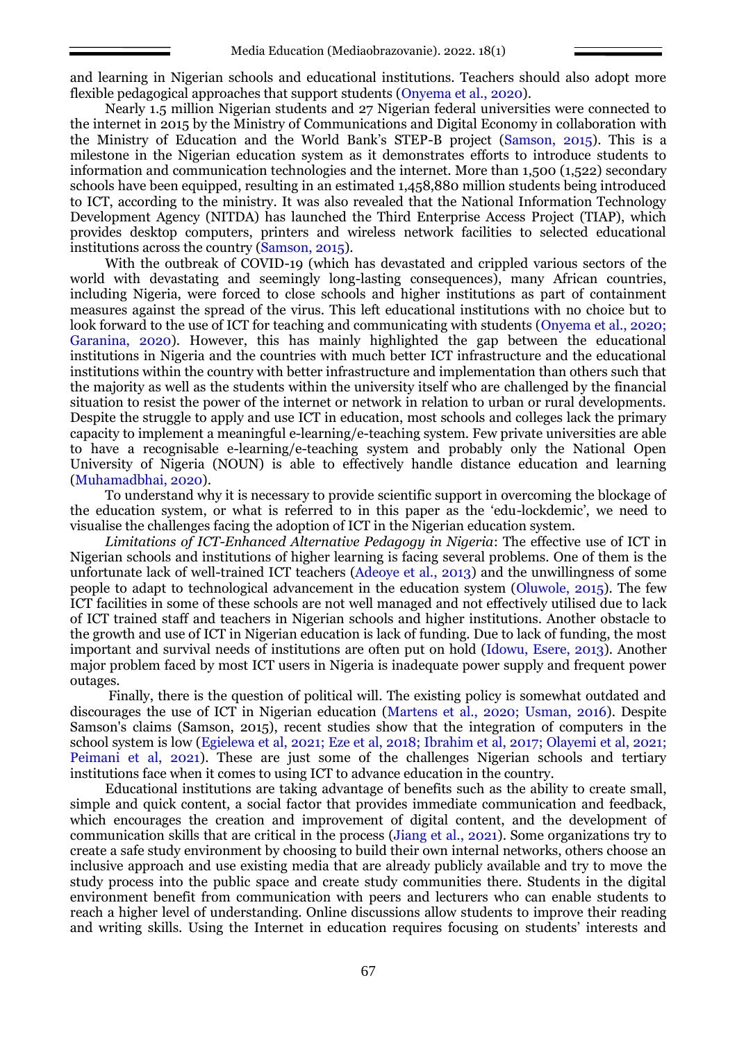and learning in Nigerian schools and educational institutions. Teachers should also adopt more flexible pedagogical approaches that support students (Onyema et al., 2020).

Nearly 1.5 million Nigerian students and 27 Nigerian federal universities were connected to the internet in 2015 by the Ministry of Communications and Digital Economy in collaboration with the Ministry of Education and the World Bank's STEP-B project (Samson, 2015). This is a milestone in the Nigerian education system as it demonstrates efforts to introduce students to information and communication technologies and the internet. More than 1,500 (1,522) secondary schools have been equipped, resulting in an estimated 1,458,880 million students being introduced to ICT, according to the ministry. It was also revealed that the National Information Technology Development Agency (NITDA) has launched the Third Enterprise Access Project (TIAP), which provides desktop computers, printers and wireless network facilities to selected educational institutions across the country (Samson, 2015).

With the outbreak of COVID-19 (which has devastated and crippled various sectors of the world with devastating and seemingly long-lasting consequences), many African countries, including Nigeria, were forced to close schools and higher institutions as part of containment measures against the spread of the virus. This left educational institutions with no choice but to look forward to the use of ICT for teaching and communicating with students (Onyema et al., 2020; Garanina, 2020). However, this has mainly highlighted the gap between the educational institutions in Nigeria and the countries with much better ICT infrastructure and the educational institutions within the country with better infrastructure and implementation than others such that the majority as well as the students within the university itself who are challenged by the financial situation to resist the power of the internet or network in relation to urban or rural developments. Despite the struggle to apply and use ICT in education, most schools and colleges lack the primary capacity to implement a meaningful e-learning/e-teaching system. Few private universities are able to have a recognisable e-learning/e-teaching system and probably only the National Open University of Nigeria (NOUN) is able to effectively handle distance education and learning (Muhamadbhai, 2020).

To understand why it is necessary to provide scientific support in overcoming the blockage of the education system, or what is referred to in this paper as the 'edu-lockdemic', we need to visualise the challenges facing the adoption of ICT in the Nigerian education system.

*Limitations of ICT-Enhanced Alternative Pedagogy in Nigeria*: The effective use of ICT in Nigerian schools and institutions of higher learning is facing several problems. One of them is the unfortunate lack of well-trained ICT teachers (Adeoye et al., 2013) and the unwillingness of some people to adapt to technological advancement in the education system (Oluwole, 2015). The few ICT facilities in some of these schools are not well managed and not effectively utilised due to lack of ICT trained staff and teachers in Nigerian schools and higher institutions. Another obstacle to the growth and use of ICT in Nigerian education is lack of funding. Due to lack of funding, the most important and survival needs of institutions are often put on hold (Idowu, Esere, 2013). Another major problem faced by most ICT users in Nigeria is inadequate power supply and frequent power outages.

Finally, there is the question of political will. The existing policy is somewhat outdated and discourages the use of ICT in Nigerian education (Martens et al., 2020; Usman, 2016). Despite Samson's claims (Samson, 2015), recent studies show that the integration of computers in the school system is low (Egielewa et al, 2021; Eze et al, 2018; Ibrahim et al, 2017; Olayemi et al, 2021; Peimani et al, 2021). These are just some of the challenges Nigerian schools and tertiary institutions face when it comes to using ICT to advance education in the country.

Educational institutions are taking advantage of benefits such as the ability to create small, simple and quick content, a social factor that provides immediate communication and feedback, which encourages the creation and improvement of digital content, and the development of communication skills that are critical in the process (Jiang et al., 2021). Some organizations try to create a safe study environment by choosing to build their own internal networks, others choose an inclusive approach and use existing media that are already publicly available and try to move the study process into the public space and create study communities there. Students in the digital environment benefit from communication with peers and lecturers who can enable students to reach a higher level of understanding. Online discussions allow students to improve their reading and writing skills. Using the Internet in education requires focusing on students' interests and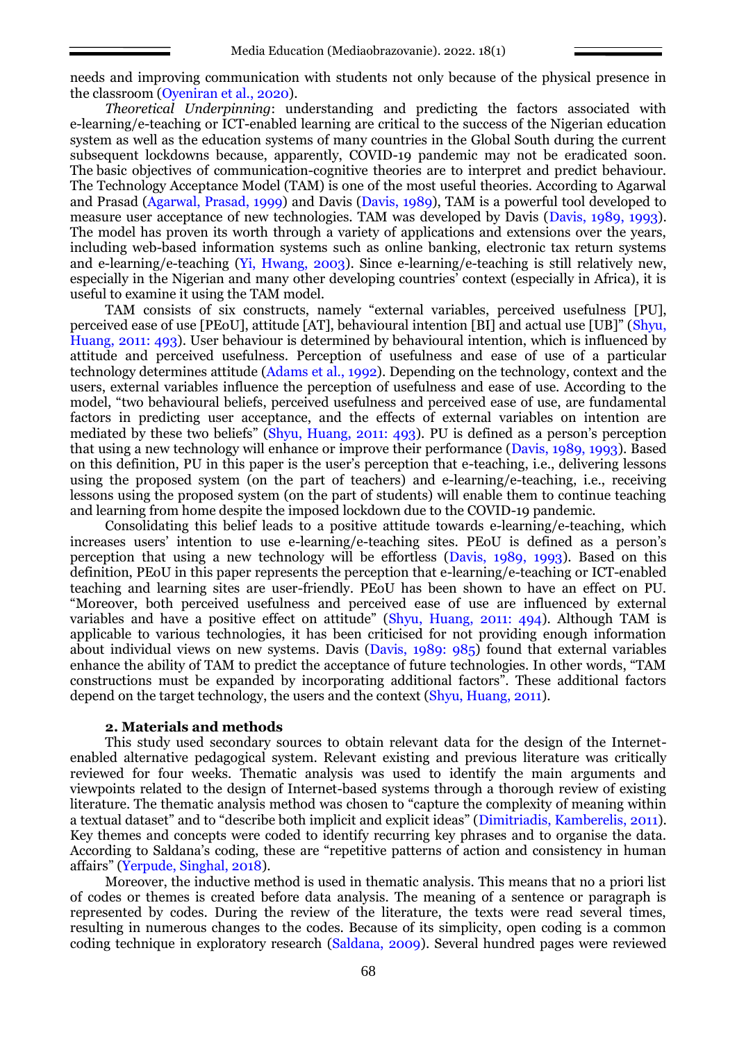needs and improving communication with students not only because of the physical presence in the classroom (Oyeniran et al., 2020).

*Theoretical Underpinning*: understanding and predicting the factors associated with e-learning/e-teaching or ICT-enabled learning are critical to the success of the Nigerian education system as well as the education systems of many countries in the Global South during the current subsequent lockdowns because, apparently, COVID-19 pandemic may not be eradicated soon. The basic objectives of communication-cognitive theories are to interpret and predict behaviour. The Technology Acceptance Model (TAM) is one of the most useful theories. According to Agarwal and Prasad (Agarwal, Prasad, 1999) and Davis (Davis, 1989), TAM is a powerful tool developed to measure user acceptance of new technologies. TAM was developed by Davis (Davis, 1989, 1993). The model has proven its worth through a variety of applications and extensions over the years, including web-based information systems such as online banking, electronic tax return systems and e-learning/e-teaching (Yi, Hwang, 2003). Since e-learning/e-teaching is still relatively new, especially in the Nigerian and many other developing countries' context (especially in Africa), it is useful to examine it using the TAM model.

TAM consists of six constructs, namely "external variables, perceived usefulness [PU], perceived ease of use [PEoU], attitude [AT], behavioural intention [BI] and actual use [UB]" (Shyu, Huang, 2011: 493). User behaviour is determined by behavioural intention, which is influenced by attitude and perceived usefulness. Perception of usefulness and ease of use of a particular technology determines attitude (Adams et al., 1992). Depending on the technology, context and the users, external variables influence the perception of usefulness and ease of use. According to the model, "two behavioural beliefs, perceived usefulness and perceived ease of use, are fundamental factors in predicting user acceptance, and the effects of external variables on intention are mediated by these two beliefs" (Shyu, Huang, 2011: 493). PU is defined as a person's perception that using a new technology will enhance or improve their performance (Davis, 1989, 1993). Based on this definition, PU in this paper is the user's perception that e-teaching, i.e., delivering lessons using the proposed system (on the part of teachers) and e-learning/e-teaching, i.e., receiving lessons using the proposed system (on the part of students) will enable them to continue teaching and learning from home despite the imposed lockdown due to the COVID-19 pandemic.

Consolidating this belief leads to a positive attitude towards e-learning/e-teaching, which increases users' intention to use e-learning/e-teaching sites. PEoU is defined as a person's perception that using a new technology will be effortless (Davis, 1989, 1993). Based on this definition, PEoU in this paper represents the perception that e-learning/e-teaching or ICT-enabled teaching and learning sites are user-friendly. PEoU has been shown to have an effect on PU. "Moreover, both perceived usefulness and perceived ease of use are influenced by external variables and have a positive effect on attitude" (Shyu, Huang, 2011: 494). Although TAM is applicable to various technologies, it has been criticised for not providing enough information about individual views on new systems. Davis (Davis, 1989: 985) found that external variables enhance the ability of TAM to predict the acceptance of future technologies. In other words, "TAM constructions must be expanded by incorporating additional factors". These additional factors depend on the target technology, the users and the context (Shyu, Huang, 2011).

#### **2. Materials and methods**

This study used secondary sources to obtain relevant data for the design of the Internetenabled alternative pedagogical system. Relevant existing and previous literature was critically reviewed for four weeks. Thematic analysis was used to identify the main arguments and viewpoints related to the design of Internet-based systems through a thorough review of existing literature. The thematic analysis method was chosen to "capture the complexity of meaning within a textual dataset" and to "describe both implicit and explicit ideas" (Dimitriadis, Kamberelis, 2011). Key themes and concepts were coded to identify recurring key phrases and to organise the data. According to Saldana's coding, these are "repetitive patterns of action and consistency in human affairs" (Yerpude, Singhal, 2018).

Moreover, the inductive method is used in thematic analysis. This means that no a priori list of codes or themes is created before data analysis. The meaning of a sentence or paragraph is represented by codes. During the review of the literature, the texts were read several times, resulting in numerous changes to the codes. Because of its simplicity, open coding is a common coding technique in exploratory research (Saldana, 2009). Several hundred pages were reviewed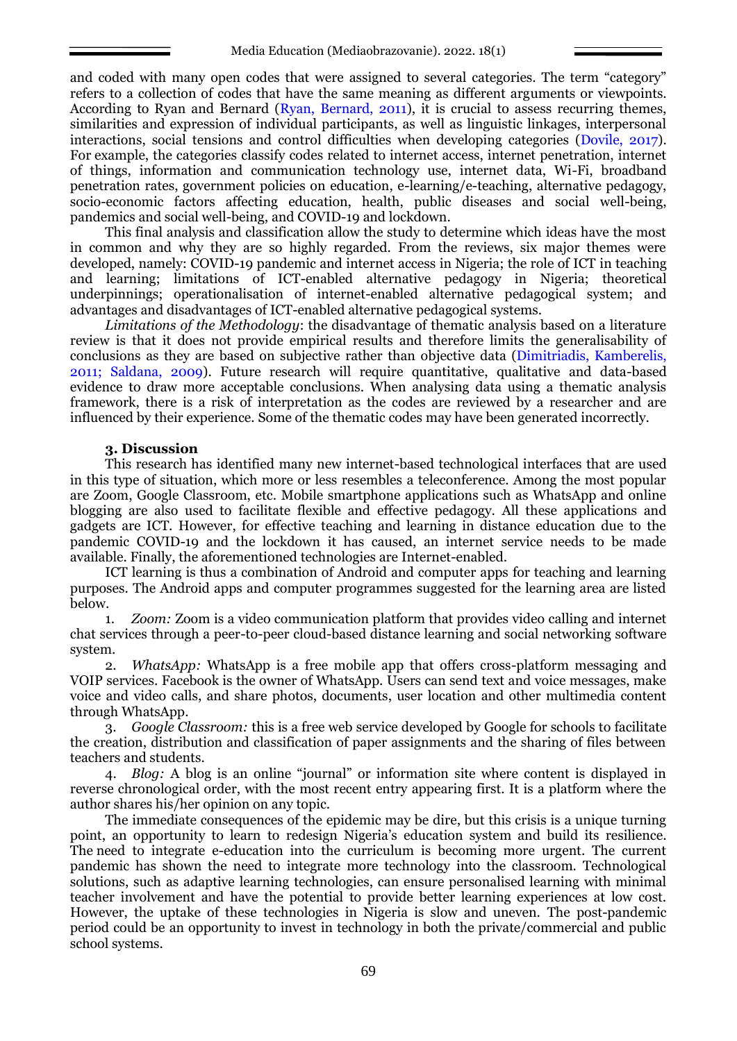and coded with many open codes that were assigned to several categories. The term "category" refers to a collection of codes that have the same meaning as different arguments or viewpoints. According to Ryan and Bernard (Ryan, Bernard, 2011), it is crucial to assess recurring themes, similarities and expression of individual participants, as well as linguistic linkages, interpersonal interactions, social tensions and control difficulties when developing categories (Dovile, 2017). For example, the categories classify codes related to internet access, internet penetration, internet of things, information and communication technology use, internet data, Wi-Fi, broadband penetration rates, government policies on education, e-learning/e-teaching, alternative pedagogy, socio-economic factors affecting education, health, public diseases and social well-being, pandemics and social well-being, and COVID-19 and lockdown.

This final analysis and classification allow the study to determine which ideas have the most in common and why they are so highly regarded. From the reviews, six major themes were developed, namely: COVID-19 pandemic and internet access in Nigeria; the role of ICT in teaching and learning; limitations of ICT-enabled alternative pedagogy in Nigeria; theoretical underpinnings; operationalisation of internet-enabled alternative pedagogical system; and advantages and disadvantages of ICT-enabled alternative pedagogical systems.

*Limitations of the Methodology*: the disadvantage of thematic analysis based on a literature review is that it does not provide empirical results and therefore limits the generalisability of conclusions as they are based on subjective rather than objective data (Dimitriadis, Kamberelis, 2011; Saldana, 2009). Future research will require quantitative, qualitative and data-based evidence to draw more acceptable conclusions. When analysing data using a thematic analysis framework, there is a risk of interpretation as the codes are reviewed by a researcher and are influenced by their experience. Some of the thematic codes may have been generated incorrectly.

### **3. Discussion**

This research has identified many new internet-based technological interfaces that are used in this type of situation, which more or less resembles a teleconference. Among the most popular are Zoom, Google Classroom, etc. Mobile smartphone applications such as WhatsApp and online blogging are also used to facilitate flexible and effective pedagogy. All these applications and gadgets are ICT. However, for effective teaching and learning in distance education due to the pandemic COVID-19 and the lockdown it has caused, an internet service needs to be made available. Finally, the aforementioned technologies are Internet-enabled.

ICT learning is thus a combination of Android and computer apps for teaching and learning purposes. The Android apps and computer programmes suggested for the learning area are listed below.

1. *Zoom:* Zoom is a video communication platform that provides video calling and internet chat services through a peer-to-peer cloud-based distance learning and social networking software system.

*WhatsApp:* WhatsApp is a free mobile app that offers cross-platform messaging and VOIP services. Facebook is the owner of WhatsApp. Users can send text and voice messages, make voice and video calls, and share photos, documents, user location and other multimedia content through WhatsApp.

3. *Google Classroom:* this is a free web service developed by Google for schools to facilitate the creation, distribution and classification of paper assignments and the sharing of files between teachers and students.

4. *Blog:* A blog is an online "journal" or information site where content is displayed in reverse chronological order, with the most recent entry appearing first. It is a platform where the author shares his/her opinion on any topic.

The immediate consequences of the epidemic may be dire, but this crisis is a unique turning point, an opportunity to learn to redesign Nigeria's education system and build its resilience. The need to integrate e-education into the curriculum is becoming more urgent. The current pandemic has shown the need to integrate more technology into the classroom. Technological solutions, such as adaptive learning technologies, can ensure personalised learning with minimal teacher involvement and have the potential to provide better learning experiences at low cost. However, the uptake of these technologies in Nigeria is slow and uneven. The post-pandemic period could be an opportunity to invest in technology in both the private/commercial and public school systems.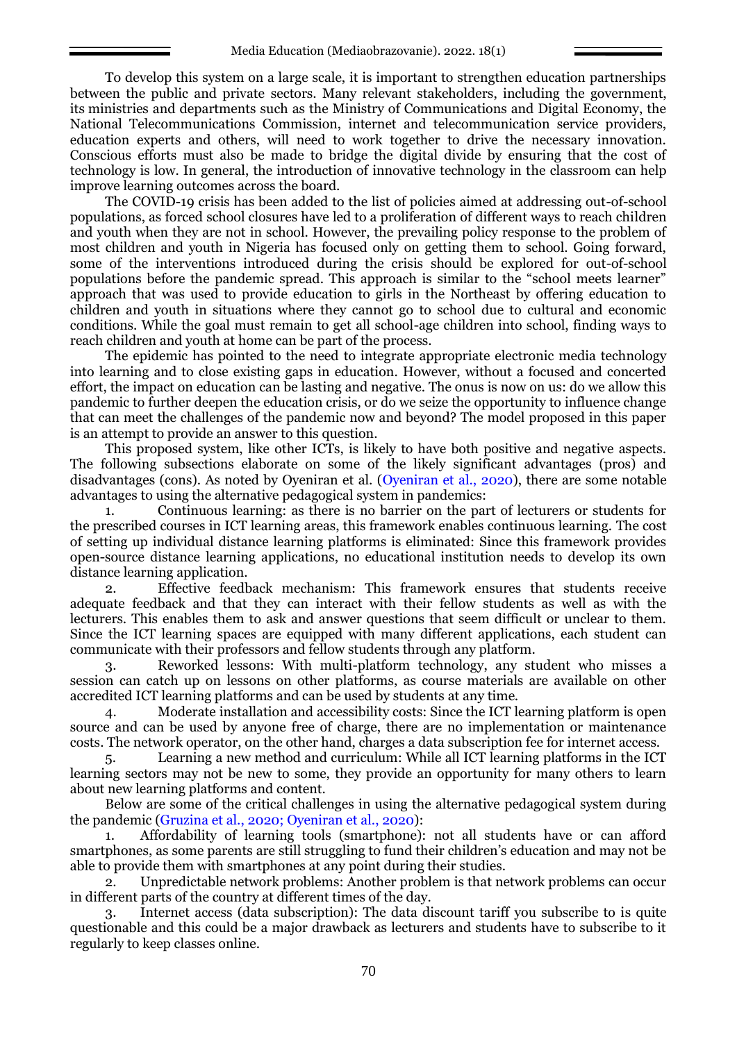To develop this system on a large scale, it is important to strengthen education partnerships between the public and private sectors. Many relevant stakeholders, including the government, its ministries and departments such as the Ministry of Communications and Digital Economy, the National Telecommunications Commission, internet and telecommunication service providers, education experts and others, will need to work together to drive the necessary innovation. Conscious efforts must also be made to bridge the digital divide by ensuring that the cost of technology is low. In general, the introduction of innovative technology in the classroom can help improve learning outcomes across the board.

The COVID-19 crisis has been added to the list of policies aimed at addressing out-of-school populations, as forced school closures have led to a proliferation of different ways to reach children and youth when they are not in school. However, the prevailing policy response to the problem of most children and youth in Nigeria has focused only on getting them to school. Going forward, some of the interventions introduced during the crisis should be explored for out-of-school populations before the pandemic spread. This approach is similar to the "school meets learner" approach that was used to provide education to girls in the Northeast by offering education to children and youth in situations where they cannot go to school due to cultural and economic conditions. While the goal must remain to get all school-age children into school, finding ways to reach children and youth at home can be part of the process.

The epidemic has pointed to the need to integrate appropriate electronic media technology into learning and to close existing gaps in education. However, without a focused and concerted effort, the impact on education can be lasting and negative. The onus is now on us: do we allow this pandemic to further deepen the education crisis, or do we seize the opportunity to influence change that can meet the challenges of the pandemic now and beyond? The model proposed in this paper is an attempt to provide an answer to this question.

This proposed system, like other ICTs, is likely to have both positive and negative aspects. The following subsections elaborate on some of the likely significant advantages (pros) and disadvantages (cons). As noted by Oyeniran et al. (Oyeniran et al., 2020), there are some notable advantages to using the alternative pedagogical system in pandemics:

1. Continuous learning: as there is no barrier on the part of lecturers or students for the prescribed courses in ICT learning areas, this framework enables continuous learning. The cost of setting up individual distance learning platforms is eliminated: Since this framework provides open-source distance learning applications, no educational institution needs to develop its own distance learning application.

2. Effective feedback mechanism: This framework ensures that students receive adequate feedback and that they can interact with their fellow students as well as with the lecturers. This enables them to ask and answer questions that seem difficult or unclear to them. Since the ICT learning spaces are equipped with many different applications, each student can communicate with their professors and fellow students through any platform.

3. Reworked lessons: With multi-platform technology, any student who misses a session can catch up on lessons on other platforms, as course materials are available on other accredited ICT learning platforms and can be used by students at any time.

4. Moderate installation and accessibility costs: Since the ICT learning platform is open source and can be used by anyone free of charge, there are no implementation or maintenance costs. The network operator, on the other hand, charges a data subscription fee for internet access.

5. Learning a new method and curriculum: While all ICT learning platforms in the ICT learning sectors may not be new to some, they provide an opportunity for many others to learn about new learning platforms and content.

Below are some of the critical challenges in using the alternative pedagogical system during the pandemic (Gruzina et al., 2020; Oyeniran et al., 2020):

1. Affordability of learning tools (smartphone): not all students have or can afford smartphones, as some parents are still struggling to fund their children's education and may not be able to provide them with smartphones at any point during their studies.

2. Unpredictable network problems: Another problem is that network problems can occur in different parts of the country at different times of the day.

3. Internet access (data subscription): The data discount tariff you subscribe to is quite questionable and this could be a major drawback as lecturers and students have to subscribe to it regularly to keep classes online.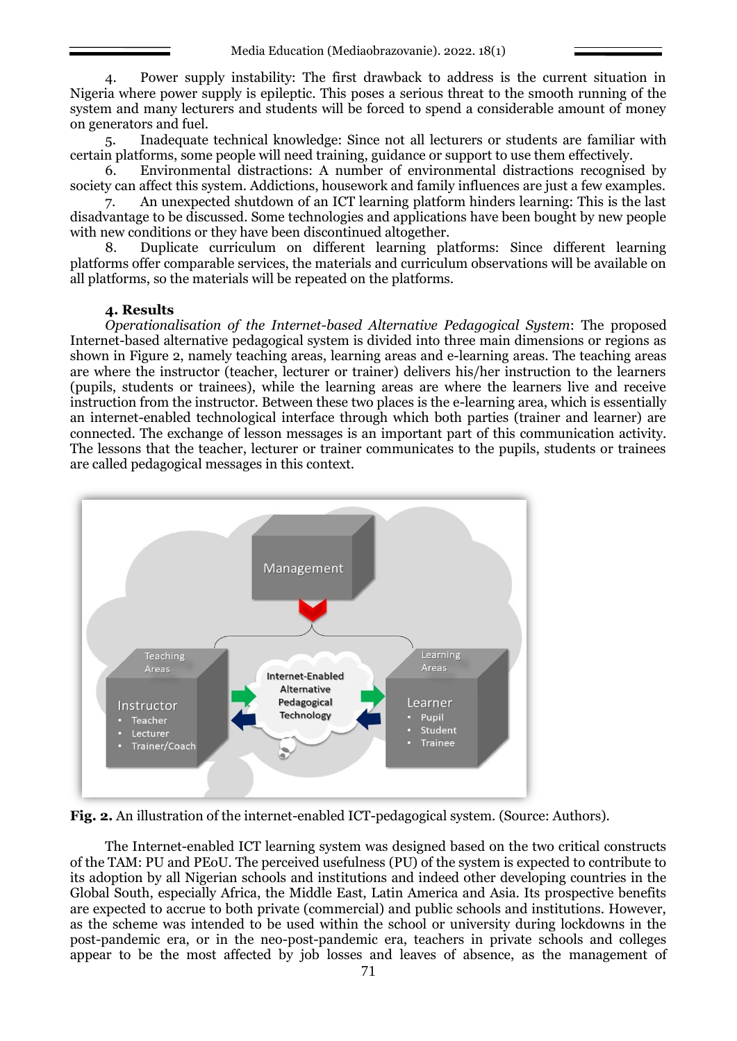4. Power supply instability: The first drawback to address is the current situation in Nigeria where power supply is epileptic. This poses a serious threat to the smooth running of the system and many lecturers and students will be forced to spend a considerable amount of money on generators and fuel.

5. Inadequate technical knowledge: Since not all lecturers or students are familiar with certain platforms, some people will need training, guidance or support to use them effectively.

6. Environmental distractions: A number of environmental distractions recognised by society can affect this system. Addictions, housework and family influences are just a few examples.

7. An unexpected shutdown of an ICT learning platform hinders learning: This is the last disadvantage to be discussed. Some technologies and applications have been bought by new people with new conditions or they have been discontinued altogether.

8. Duplicate curriculum on different learning platforms: Since different learning platforms offer comparable services, the materials and curriculum observations will be available on all platforms, so the materials will be repeated on the platforms.

### **4. Results**

*Operationalisation of the Internet-based Alternative Pedagogical System*: The proposed Internet-based alternative pedagogical system is divided into three main dimensions or regions as shown in Figure 2, namely teaching areas, learning areas and e-learning areas. The teaching areas are where the instructor (teacher, lecturer or trainer) delivers his/her instruction to the learners (pupils, students or trainees), while the learning areas are where the learners live and receive instruction from the instructor. Between these two places is the e-learning area, which is essentially an internet-enabled technological interface through which both parties (trainer and learner) are connected. The exchange of lesson messages is an important part of this communication activity. The lessons that the teacher, lecturer or trainer communicates to the pupils, students or trainees are called pedagogical messages in this context.



**Fig. 2.** An illustration of the internet-enabled ICT-pedagogical system. (Source: Authors).

The Internet-enabled ICT learning system was designed based on the two critical constructs of the TAM: PU and PEoU. The perceived usefulness (PU) of the system is expected to contribute to its adoption by all Nigerian schools and institutions and indeed other developing countries in the Global South, especially Africa, the Middle East, Latin America and Asia. Its prospective benefits are expected to accrue to both private (commercial) and public schools and institutions. However, as the scheme was intended to be used within the school or university during lockdowns in the post-pandemic era, or in the neo-post-pandemic era, teachers in private schools and colleges appear to be the most affected by job losses and leaves of absence, as the management of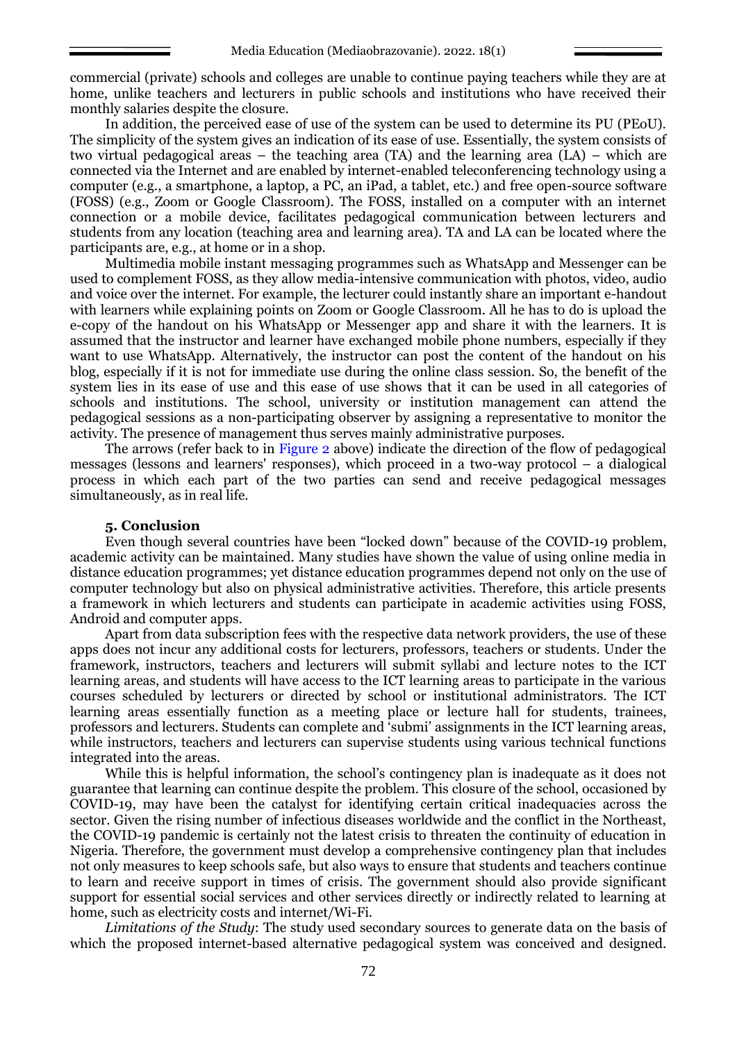commercial (private) schools and colleges are unable to continue paying teachers while they are at home, unlike teachers and lecturers in public schools and institutions who have received their monthly salaries despite the closure.

In addition, the perceived ease of use of the system can be used to determine its PU (PEoU). The simplicity of the system gives an indication of its ease of use. Essentially, the system consists of two virtual pedagogical areas – the teaching area (TA) and the learning area (LA) – which are connected via the Internet and are enabled by internet-enabled teleconferencing technology using a computer (e.g., a smartphone, a laptop, a PC, an iPad, a tablet, etc.) and free open-source software (FOSS) (e.g., Zoom or Google Classroom). The FOSS, installed on a computer with an internet connection or a mobile device, facilitates pedagogical communication between lecturers and students from any location (teaching area and learning area). TA and LA can be located where the participants are, e.g., at home or in a shop.

Multimedia mobile instant messaging programmes such as WhatsApp and Messenger can be used to complement FOSS, as they allow media-intensive communication with photos, video, audio and voice over the internet. For example, the lecturer could instantly share an important e-handout with learners while explaining points on Zoom or Google Classroom. All he has to do is upload the e-copy of the handout on his WhatsApp or Messenger app and share it with the learners. It is assumed that the instructor and learner have exchanged mobile phone numbers, especially if they want to use WhatsApp. Alternatively, the instructor can post the content of the handout on his blog, especially if it is not for immediate use during the online class session. So, the benefit of the system lies in its ease of use and this ease of use shows that it can be used in all categories of schools and institutions. The school, university or institution management can attend the pedagogical sessions as a non-participating observer by assigning a representative to monitor the activity. The presence of management thus serves mainly administrative purposes.

The arrows (refer back to in Figure 2 above) indicate the direction of the flow of pedagogical messages (lessons and learners' responses), which proceed in a two-way protocol – a dialogical process in which each part of the two parties can send and receive pedagogical messages simultaneously, as in real life.

### **5. Conclusion**

Even though several countries have been "locked down" because of the COVID-19 problem, academic activity can be maintained. Many studies have shown the value of using online media in distance education programmes; yet distance education programmes depend not only on the use of computer technology but also on physical administrative activities. Therefore, this article presents a framework in which lecturers and students can participate in academic activities using FOSS, Android and computer apps.

Apart from data subscription fees with the respective data network providers, the use of these apps does not incur any additional costs for lecturers, professors, teachers or students. Under the framework, instructors, teachers and lecturers will submit syllabi and lecture notes to the ICT learning areas, and students will have access to the ICT learning areas to participate in the various courses scheduled by lecturers or directed by school or institutional administrators. The ICT learning areas essentially function as a meeting place or lecture hall for students, trainees, professors and lecturers. Students can complete and 'submi' assignments in the ICT learning areas, while instructors, teachers and lecturers can supervise students using various technical functions integrated into the areas.

While this is helpful information, the school's contingency plan is inadequate as it does not guarantee that learning can continue despite the problem. This closure of the school, occasioned by COVID-19, may have been the catalyst for identifying certain critical inadequacies across the sector. Given the rising number of infectious diseases worldwide and the conflict in the Northeast, the COVID-19 pandemic is certainly not the latest crisis to threaten the continuity of education in Nigeria. Therefore, the government must develop a comprehensive contingency plan that includes not only measures to keep schools safe, but also ways to ensure that students and teachers continue to learn and receive support in times of crisis. The government should also provide significant support for essential social services and other services directly or indirectly related to learning at home, such as electricity costs and internet/Wi-Fi.

*Limitations of the Study*: The study used secondary sources to generate data on the basis of which the proposed internet-based alternative pedagogical system was conceived and designed.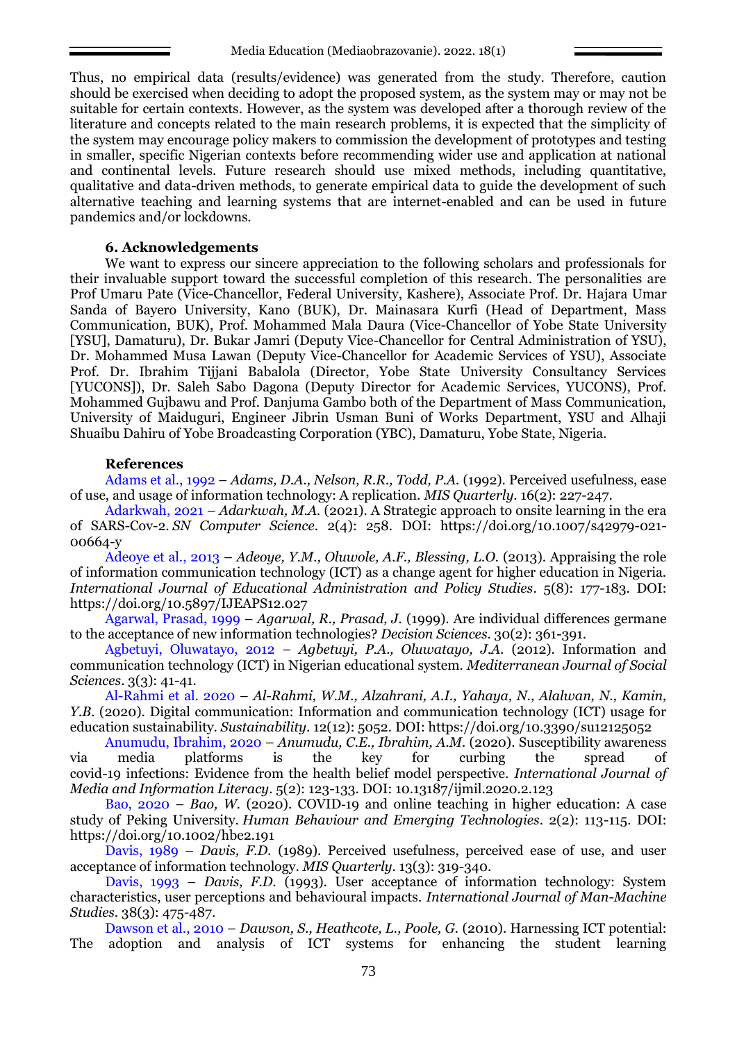Thus, no empirical data (results/evidence) was generated from the study. Therefore, caution should be exercised when deciding to adopt the proposed system, as the system may or may not be suitable for certain contexts. However, as the system was developed after a thorough review of the literature and concepts related to the main research problems, it is expected that the simplicity of the system may encourage policy makers to commission the development of prototypes and testing in smaller, specific Nigerian contexts before recommending wider use and application at national and continental levels. Future research should use mixed methods, including quantitative, qualitative and data-driven methods, to generate empirical data to guide the development of such alternative teaching and learning systems that are internet-enabled and can be used in future pandemics and/or lockdowns.

#### **6. Acknowledgements**

We want to express our sincere appreciation to the following scholars and professionals for their invaluable support toward the successful completion of this research. The personalities are Prof Umaru Pate (Vice-Chancellor, Federal University, Kashere), Associate Prof. Dr. Hajara Umar Sanda of Bayero University, Kano (BUK), Dr. Mainasara Kurfi (Head of Department, Mass Communication, BUK), Prof. Mohammed Mala Daura (Vice-Chancellor of Yobe State University [YSU], Damaturu), Dr. Bukar Jamri (Deputy Vice-Chancellor for Central Administration of YSU), Dr. Mohammed Musa Lawan (Deputy Vice-Chancellor for Academic Services of YSU), Associate Prof. Dr. Ibrahim Tijjani Babalola (Director, Yobe State University Consultancy Services [YUCONS]), Dr. Saleh Sabo Dagona (Deputy Director for Academic Services, YUCONS), Prof. Mohammed Gujbawu and Prof. Danjuma Gambo both of the Department of Mass Communication, University of Maiduguri, Engineer Jibrin Usman Buni of Works Department, YSU and Alhaji Shuaibu Dahiru of Yobe Broadcasting Corporation (YBC), Damaturu, Yobe State, Nigeria.

### **References**

Adams et al., 1992 – *Adams, D.A., Nelson, R.R., Todd, P.A.* (1992). Perceived usefulness, ease of use, and usage of information technology: A replication. *MIS Quarterly*. 16(2): 227-247.

Adarkwah, 2021 – *Adarkwah, M.A.* (2021). A Strategic approach to onsite learning in the era of SARS-Cov-2. *SN Computer Science*. 2(4): 258. DOI: [https://doi.org/10.1007/s42979-021-](https://doi.org/10.1007/s42979-021-00664-y) [00664-y](https://doi.org/10.1007/s42979-021-00664-y)

Adeoye et al., 2013 – *Adeoye, Y.M., Oluwole, A.F., Blessing, L.O.* (2013). Appraising the role of information communication technology (ICT) as a change agent for higher education in Nigeria. *International Journal of Educational Administration and Policy Studies*. 5(8): 177-183. DOI: <https://doi.org/10.5897/IJEAPS12.027>

Agarwal, Prasad, 1999 – *Agarwal, R., Prasad, J.* (1999). Are individual differences germane to the acceptance of new information technologies? *Decision Sciences*. 30(2): 361-391.

Agbetuyi, Oluwatayo, 2012 – *Agbetuyi, P.A., Oluwatayo, J.A.* (2012). Information and communication technology (ICT) in Nigerian educational system. *Mediterranean Journal of Social Sciences*. 3(3): 41-41.

Al-Rahmi et al. 2020 – *Al-Rahmi, W.M., Alzahrani, A.I., Yahaya, N., Alalwan, N., Kamin, Y.B.* (2020). Digital communication: Information and communication technology (ICT) usage for education sustainability. *Sustainability*. 12(12): 5052. DOI:<https://doi.org/10.3390/su12125052>

Anumudu, Ibrahim, 2020 – *Anumudu, C.E., Ibrahim, A.M.* (2020). Susceptibility awareness via media platforms is the key for curbing the spread of covid-19 infections: Evidence from the health belief model perspective. *International Journal of Media and Information Literacy*. 5(2): 123-133. DOI: 10.13187/ijmil.2020.2.123

Bao, 2020 – *Bao, W.* (2020). COVID-19 and online teaching in higher education: A case study of Peking University. *Human Behaviour and Emerging Technologies*. 2(2): 113-115. DOI: <https://doi.org/10.1002/hbe2.191>

Davis, 1989 – *Davis, F.D.* (1989). Perceived usefulness, perceived ease of use, and user acceptance of information technology. *MIS Quarterly*. 13(3): 319-340.

Davis, 1993 – *Davis, F.D.* (1993). User acceptance of information technology: System characteristics, user perceptions and behavioural impacts. *International Journal of Man-Machine Studies*. 38(3): 475-487.

Dawson et al., 2010 – *Dawson, S., Heathcote, L., Poole, G.* (2010). Harnessing ICT potential: The adoption and analysis of ICT systems for enhancing the student learning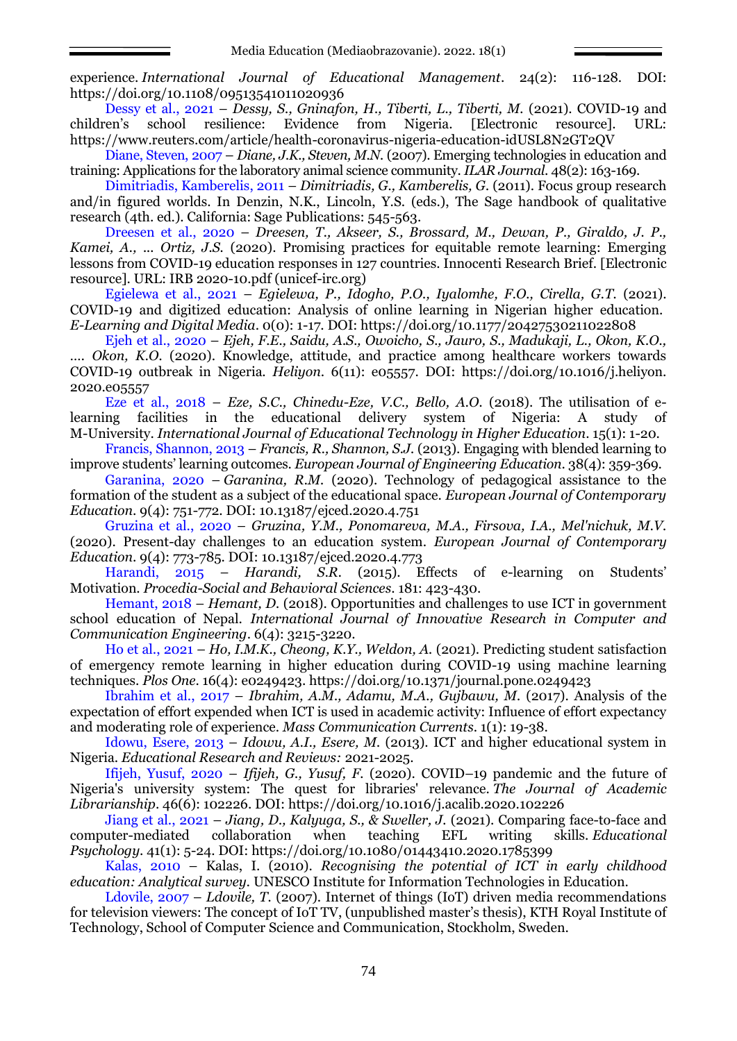experience. *International Journal of Educational Management*. 24(2): 116-128. DOI: <https://doi.org/10.1108/09513541011020936>

Dessy et al., 2021 – *Dessy, S., Gninafon, H., Tiberti, L., Tiberti, M.* (2021). COVID-19 and children's school resilience: Evidence from Nigeria. [Electronic resource]. URL: <https://www.reuters.com/article/health-coronavirus-nigeria-education-idUSL8N2GT2QV>

Diane, Steven, 2007 – *Diane, J.K., Steven, M.N.* (2007). Emerging technologies in education and training: Applications for the laboratory animal science community. *ILAR Journal*. 48(2): 163-169.

Dimitriadis, Kamberelis, 2011 – *Dimitriadis, G., Kamberelis, G.* (2011). Focus group research and/in figured worlds. In Denzin, N.K., [Lincoln,](https://www.amazon.com/s/ref=dp_byline_sr_book_2?ie=UTF8&text=Yvonna+S.+Lincoln&search-alias=books&field-author=Yvonna+S.+Lincoln&sort=relevancerank) Y.S. (eds.), The Sage handbook of qualitative research (4th. ed.). California: Sage Publications: 545-563.

Dreesen et al., 2020 – *Dreesen, T., Akseer, S., Brossard, M., Dewan, P., Giraldo, J. P., Kamei, A., ... Ortiz, J.S.* (2020). Promising practices for equitable remote learning: Emerging lessons from COVID-19 education responses in 127 countries. Innocenti Research Brief. [Electronic resource]. URL: [IRB 2020-10.pdf \(unicef-irc.org\)](https://www.unicef-irc.org/publications/pdf/IRB%202020-10.pdf)

Egielewa et al., 2021 – *Egielewa, P., Idogho, P.O., Iyalomhe, F.O., Cirella, G.T.* (2021). COVID-19 and digitized education: Analysis of online learning in Nigerian higher education. *E-Learning and Digital Media*. 0(0): 1-17. DOI:<https://doi.org/10.1177/20427530211022808>

Ejeh et al., 2020 – *Ejeh, F.E., Saidu, A.S., Owoicho, S., Jauro, S., Madukaji, L., Okon, K.O., …. Okon, K.O.* (2020). Knowledge, attitude, and practice among healthcare workers towards COVID-19 outbreak in Nigeria. *Heliyon*. 6(11): e05557. DOI: https://doi.org/10.1016/j.heliyon. 2020.e05557

Eze et al., 2018 – *Eze, S.C., Chinedu-Eze, V.C., Bello, A.O.* (2018). The utilisation of elearning facilities in the educational delivery system of Nigeria: A study of M-University. *International Journal of Educational Technology in Higher Education*. 15(1): 1-20.

Francis, Shannon, 2013 – *Francis, R., Shannon, S.J.* (2013). Engaging with blended learning to improve students' learning outcomes. *European Journal of Engineering Education*. 38(4): 359-369.

Garanina, 2020 – *Garanina, R.M.* (2020). Technology of pedagogical assistance to the formation of the student as a subject of the educational space. *European Journal of Contemporary Education*. 9(4): 751-772. DOI: [10.13187/ejced.2020.4.751](http://dx.doi.org/10.13187/ejced.2020.4.751)

Gruzina et al., 2020 – *Gruzina, Y.M., Ponomareva, M.A., Firsova, I.A., Mel'nichuk, M.V.* (2020). Present-day challenges to an education system. *European Journal of Contemporary Education*. 9(4): 773-785. DOI: 10.13187/ejced.2020.4.773

Harandi, 2015 – *Harandi, S.R.* (2015). Effects of e-learning on Students' Motivation. *Procedia-Social and Behavioral Sciences*. 181: 423-430.

Hemant, 2018 – *Hemant, D.* (2018). Opportunities and challenges to use ICT in government school education of Nepal. *International Journal of Innovative Research in Computer and Communication Engineering*. 6(4): 3215-3220.

Ho et al., 2021 – *Ho, I.M.K., Cheong, K.Y., Weldon, A.* (2021). Predicting student satisfaction of emergency remote learning in higher education during COVID-19 using machine learning techniques. *Plos One*. 16(4): e0249423.<https://doi.org/10.1371/journal.pone.0249423>

Ibrahim et al., 2017 – *Ibrahim, A.M., Adamu, M.A., Gujbawu, M.* (2017). Analysis of the expectation of effort expended when ICT is used in academic activity: Influence of effort expectancy and moderating role of experience. *Mass Communication Currents*. 1(1): 19-38.

Idowu, Esere, 2013 – *Idowu, A.I., Esere, M.* (2013). ICT and higher educational system in Nigeria. *Educational Research and Reviews:* 2021-2025.

Ifijeh, Yusuf, 2020 – *Ifijeh, G., Yusuf, F.* (2020). COVID–19 pandemic and the future of Nigeria's university system: The quest for libraries' relevance. *The Journal of Academic Librarianship*. 46(6): 102226. DOI:<https://doi.org/10.1016/j.acalib.2020.102226>

Jiang et al., 2021 – *Jiang, D., Kalyuga, S., & Sweller, J.* (2021). Comparing face-to-face and computer-mediated collaboration when teaching EFL writing skills. *Educational Psychology*. 41(1): 5-24. DOI:<https://doi.org/10.1080/01443410.2020.1785399>

Kalas, 2010 – Kalas, I. (2010). *Recognising the potential of ICT in early childhood education: Analytical survey.* UNESCO Institute for Information Technologies in Education.

Ldovile, 2007 – *Ldovile, T.* (2007). Internet of things (IoT) driven media recommendations for television viewers: The concept of IoT TV, (unpublished master's thesis), KTH Royal Institute of Technology, School of Computer Science and Communication, Stockholm, Sweden.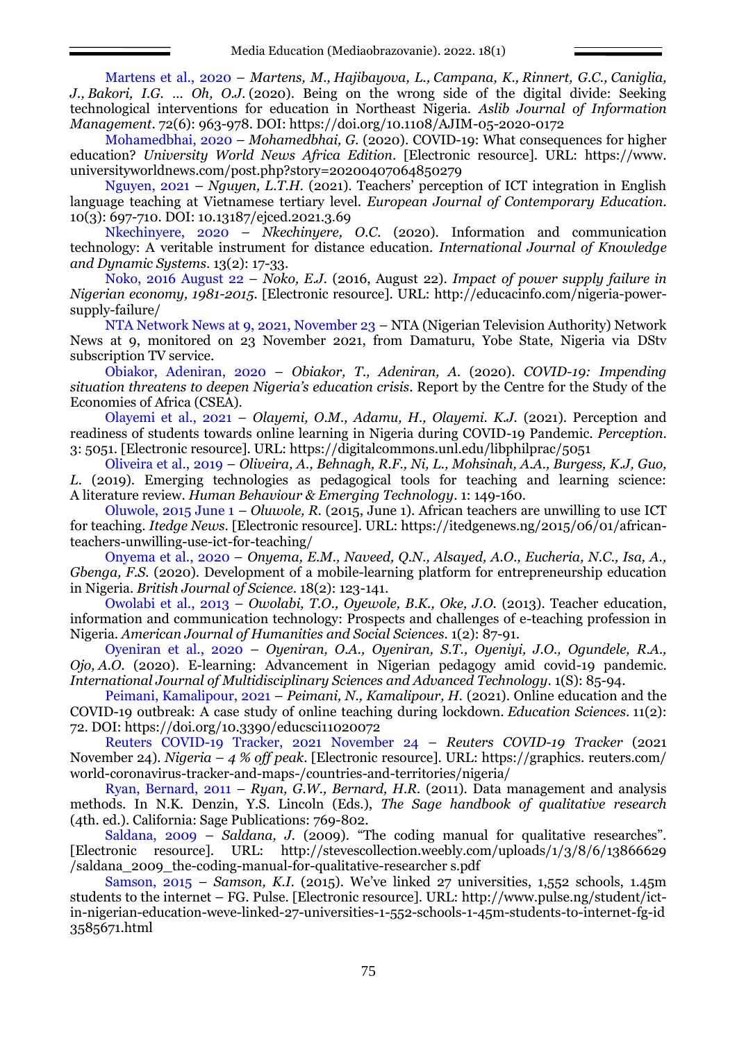Martens et al., 2020 *– [Martens, M.,](https://www.emerald.com/insight/search?q=Marianne%20Martens) [Hajibayova, L.,](https://www.emerald.com/insight/search?q=Lala%20Hajibayova) [Campana, K.,](https://www.emerald.com/insight/search?q=Kathleen%20Campana) [Rinnert, G.C.,](https://www.emerald.com/insight/search?q=Gretchen%20Caldwell%20Rinnert) [Caniglia,](https://www.emerald.com/insight/search?q=Joanne%20Caniglia)  [J.,](https://www.emerald.com/insight/search?q=Joanne%20Caniglia) [Bakori, I.G.](https://www.emerald.com/insight/search?q=Isa%20Garba%20Bakori) … [Oh, O.J.](https://www.emerald.com/insight/search?q=Olivia%20Jeonghwa%20Oh)* (2020). Being on the wrong side of the digital divide: Seeking technological interventions for education in Northeast Nigeria. *[Aslib Journal of Information](https://www.emerald.com/insight/publication/issn/2050-3806)  [Management](https://www.emerald.com/insight/publication/issn/2050-3806)*. 72(6): 963-978. DOI:<https://doi.org/10.1108/AJIM-05-2020-0172>

Mohamedbhai, 2020 – *Mohamedbhai, G.* (2020). COVID-19: What consequences for higher education? *University World News Africa Edition*. [Electronic resource]. URL: [https://www.](https://www.universityworldnews.com/post.php?story=20200407064850279) [universityworldnews.com/post.php?story=20200407064850279](https://www.universityworldnews.com/post.php?story=20200407064850279)

Nguyen, 2021 – *Nguyen, L.T.H.* (2021). Teachers' perception of ICT integration in English language teaching at Vietnamese tertiary level. *European Journal of Contemporary Education*. 10(3): 697-710. DOI: 10.13187/ejced.2021.3.69

Nkechinyere, 2020 – *Nkechinyere, O.C.* (2020). Information and communication technology: A veritable instrument for distance education. *International Journal of Knowledge and Dynamic Systems*. 13(2): 17-33.

Noko, 2016 August 22 – *Noko, E.J.* (2016, August 22). *Impact of power supply failure in Nigerian economy, 1981-2015.* [Electronic resource]. URL: [http://educacinfo.com/nigeria-power](http://educacinfo.com/nigeria-power-supply-failure/)[supply-failure/](http://educacinfo.com/nigeria-power-supply-failure/)

NTA Network News at 9, 2021, November 23 – NTA (Nigerian Television Authority) Network News at 9, monitored on 23 November 2021, from Damaturu, Yobe State, Nigeria via DStv subscription TV service.

Obiakor, Adeniran, 2020 – *Obiakor, T., Adeniran, A.* (2020). *COVID-19: Impending situation threatens to deepen Nigeria's education crisis*. Report by the Centre for the Study of the Economies of Africa (CSEA).

Olayemi et al., 2021 – *Olayemi, O.M., Adamu, H., Olayemi. K.J.* (2021). Perception and readiness of students towards online learning in Nigeria during COVID-19 Pandemic. *Perception*. 3: 5051. [Electronic resource]. URL: <https://digitalcommons.unl.edu/libphilprac/5051>

Oliveira et al., 2019 – *Oliveira, A., Behnagh, R.F., Ni, L., Mohsinah, A.A., Burgess, K.J, Guo, L.* (2019). Emerging technologies as pedagogical tools for teaching and learning science: A literature review. *Human Behaviour & Emerging Technology*. 1: 149-160.

Oluwole, 2015 June 1 – *Oluwole, R.* (2015, June 1). African teachers are unwilling to use ICT for teaching*. Itedge News*. [Electronic resource]. URL: [https://itedgenews.ng/2015/06/01/african](https://itedgenews.ng/2015/06/01/african-teachers-unwilling-use-ict-for-teaching/)[teachers-unwilling-use-ict-for-teaching/](https://itedgenews.ng/2015/06/01/african-teachers-unwilling-use-ict-for-teaching/)

Onyema et al., 2020 – *Onyema, E.M., Naveed, Q.N., Alsayed, A.O., Eucheria, N.C., Isa, A., Gbenga, F.S.* (2020). Development of a mobile-learning platform for entrepreneurship education in Nigeria. *British Journal of Science*. 18(2): 123-141.

Owolabi et al., 2013 – *Owolabi, T.O., Oyewole, B.K., Oke, J.O.* (2013). Teacher education, information and communication technology: Prospects and challenges of e-teaching profession in Nigeria. *American Journal of Humanities and Social Sciences*. 1(2): 87-91.

Oyeniran et al., 2020 – *Oyeniran, O.A., Oyeniran, S.T., Oyeniyi, J.O., Ogundele, R.A., Ojo, A.O.* (2020). E-learning: Advancement in Nigerian pedagogy amid covid-19 pandemic. *International Journal of Multidisciplinary Sciences and Advanced Technology*. 1(S): 85-94.

Peimani, Kamalipour, 2021 – *Peimani, N., Kamalipour, H.* (2021). Online education and the COVID-19 outbreak: A case study of online teaching during lockdown. *Education Sciences*. 11(2): 72. DOI:<https://doi.org/10.3390/educsci11020072>

Reuters COVID-19 Tracker, 2021 November 24 – *Reuters COVID-19 Tracker* (2021 November 24). *Nigeria – 4 % off peak*. [Electronic resource]. URL: [https://graphics.](https://graphics.reuters.com/world-coronavirus-tracker-and-maps-/countries-and-territories/nigeria/) reuters.com/ [world-coronavirus-tracker-and-maps-/countries-and-territories/nigeria/](https://graphics.reuters.com/world-coronavirus-tracker-and-maps-/countries-and-territories/nigeria/)

Ryan, Bernard, 2011 – *Ryan, G.W., Bernard, H.R.* (2011). Data management and analysis methods. In N.K. Denzin, Y.S. Lincoln (Eds.), *The Sage handbook of qualitative research* (4th. ed.). California: Sage Publications: 769-802.

Saldana, 2009 – *Saldana, J.* (2009). "The coding manual for qualitative researches". [Electronic resource]. URL: [http://stevescollection.weebly.com/uploads/1/3/8/6/13866629](http://stevescollection.weebly.com/uploads/1/3/8/6/13866629%20/saldana_2009_the-coding-manual-for-qualitative-researcher%20s.pdf)  [/saldana\\_2009\\_the-coding-manual-for-qualitative-researcher s.pdf](http://stevescollection.weebly.com/uploads/1/3/8/6/13866629%20/saldana_2009_the-coding-manual-for-qualitative-researcher%20s.pdf)

Samson, 2015 – *Samson, K.I.* (2015). We've linked 27 universities, 1,552 schools, 1.45m students to the internet – FG. Pulse. [Electronic resource]. URL: [http://www.pulse.ng/student/ict](http://www.pulse.ng/student/ict-in-nigerian-education-weve-linked-27-universities-1-552-schools-1-45m-students-to-internet-fg-id3585671.html)[in-nigerian-education-weve-linked-27-universities-1-552-schools-1-45m-students-to-internet-fg-id](http://www.pulse.ng/student/ict-in-nigerian-education-weve-linked-27-universities-1-552-schools-1-45m-students-to-internet-fg-id3585671.html) [3585671.html](http://www.pulse.ng/student/ict-in-nigerian-education-weve-linked-27-universities-1-552-schools-1-45m-students-to-internet-fg-id3585671.html)